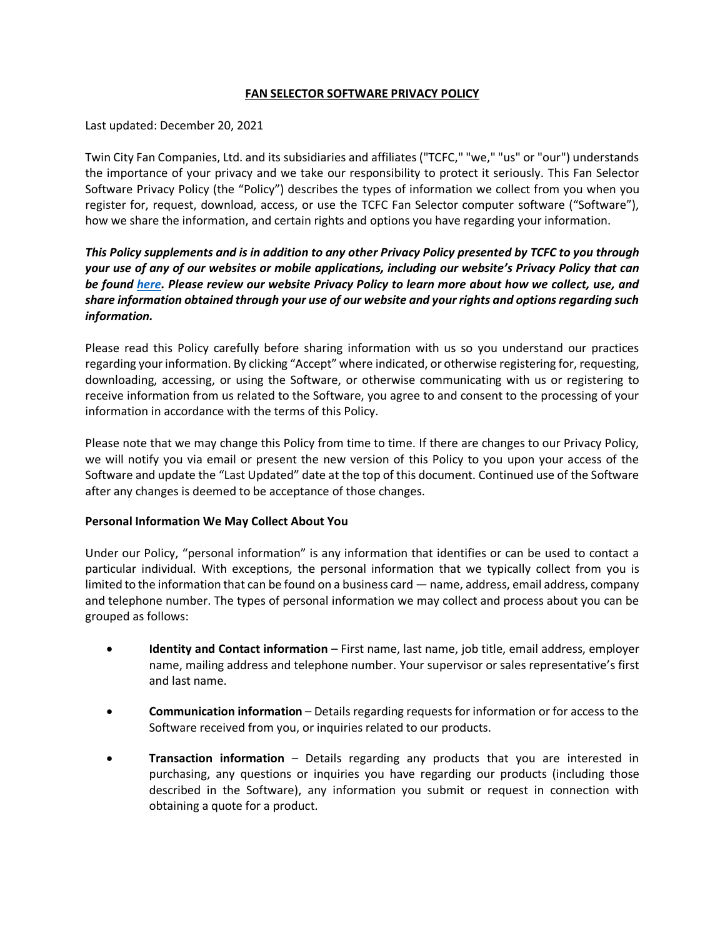## **FAN SELECTOR SOFTWARE PRIVACY POLICY**

Last updated: December 20, 2021

Twin City Fan Companies, Ltd. and its subsidiaries and affiliates ("TCFC," "we," "us" or "our") understands the importance of your privacy and we take our responsibility to protect it seriously. This Fan Selector Software Privacy Policy (the "Policy") describes the types of information we collect from you when you register for, request, download, access, or use the TCFC Fan Selector computer software ("Software"), how we share the information, and certain rights and options you have regarding your information.

*This Policy supplements and is in addition to any other Privacy Policy presented by TCFC to you through your use of any of our websites or mobile applications, including our website's Privacy Policy that can be found [here.](https://careers.tcf.com/wp-content/uploads/sites/3/2021/12/Twin-City-Fan-Companies-Ltd.-Privacy-Policy.pdf) Please review our website Privacy Policy to learn more about how we collect, use, and share information obtained through your use of our website and your rights and options regarding such information.*

Please read this Policy carefully before sharing information with us so you understand our practices regarding your information. By clicking "Accept" where indicated, or otherwise registering for, requesting, downloading, accessing, or using the Software, or otherwise communicating with us or registering to receive information from us related to the Software, you agree to and consent to the processing of your information in accordance with the terms of this Policy.

Please note that we may change this Policy from time to time. If there are changes to our Privacy Policy, we will notify you via email or present the new version of this Policy to you upon your access of the Software and update the "Last Updated" date at the top of this document. Continued use of the Software after any changes is deemed to be acceptance of those changes.

#### **Personal Information We May Collect About You**

Under our Policy, "personal information" is any information that identifies or can be used to contact a particular individual. With exceptions, the personal information that we typically collect from you is limited to the information that can be found on a business card — name, address, email address, company and telephone number. The types of personal information we may collect and process about you can be grouped as follows:

- **Identity and Contact information** First name, last name, job title, email address, employer name, mailing address and telephone number. Your supervisor or sales representative's first and last name.
- **Communication information** Details regarding requests for information or for access to the Software received from you, or inquiries related to our products.
- **Transaction information** Details regarding any products that you are interested in purchasing, any questions or inquiries you have regarding our products (including those described in the Software), any information you submit or request in connection with obtaining a quote for a product.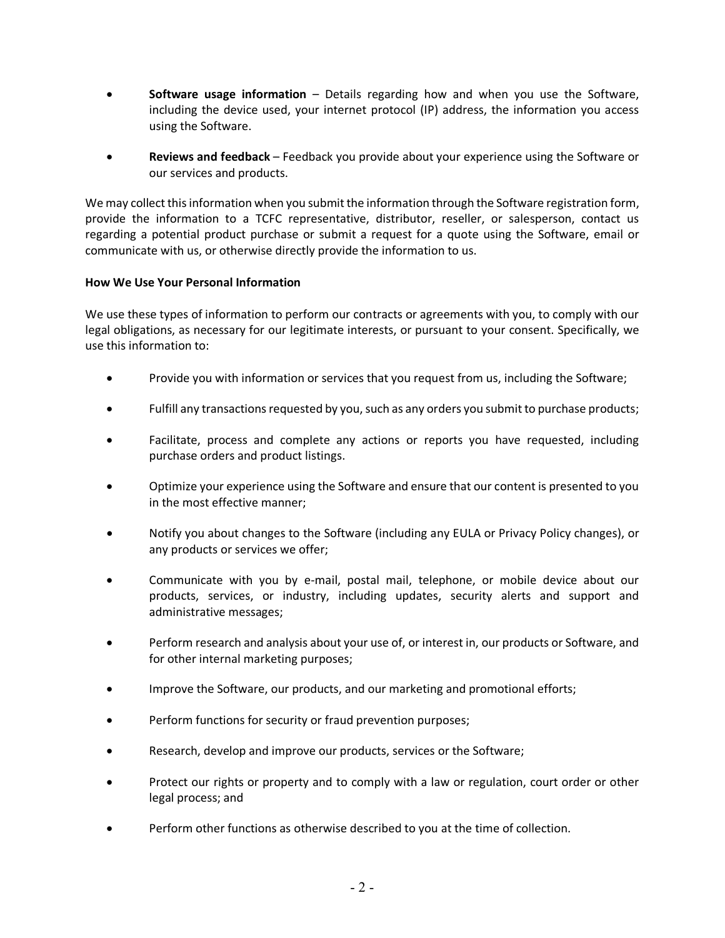- **Software usage information** Details regarding how and when you use the Software, including the device used, your internet protocol (IP) address, the information you access using the Software.
- **Reviews and feedback** Feedback you provide about your experience using the Software or our services and products.

We may collect this information when you submit the information through the Software registration form, provide the information to a TCFC representative, distributor, reseller, or salesperson, contact us regarding a potential product purchase or submit a request for a quote using the Software, email or communicate with us, or otherwise directly provide the information to us.

## **How We Use Your Personal Information**

We use these types of information to perform our contracts or agreements with you, to comply with our legal obligations, as necessary for our legitimate interests, or pursuant to your consent. Specifically, we use this information to:

- Provide you with information or services that you request from us, including the Software;
- Fulfill any transactions requested by you, such as any orders you submit to purchase products;
- Facilitate, process and complete any actions or reports you have requested, including purchase orders and product listings.
- Optimize your experience using the Software and ensure that our content is presented to you in the most effective manner;
- Notify you about changes to the Software (including any EULA or Privacy Policy changes), or any products or services we offer;
- Communicate with you by e-mail, postal mail, telephone, or mobile device about our products, services, or industry, including updates, security alerts and support and administrative messages;
- Perform research and analysis about your use of, or interest in, our products or Software, and for other internal marketing purposes;
- Improve the Software, our products, and our marketing and promotional efforts;
- Perform functions for security or fraud prevention purposes;
- Research, develop and improve our products, services or the Software;
- Protect our rights or property and to comply with a law or regulation, court order or other legal process; and
- Perform other functions as otherwise described to you at the time of collection.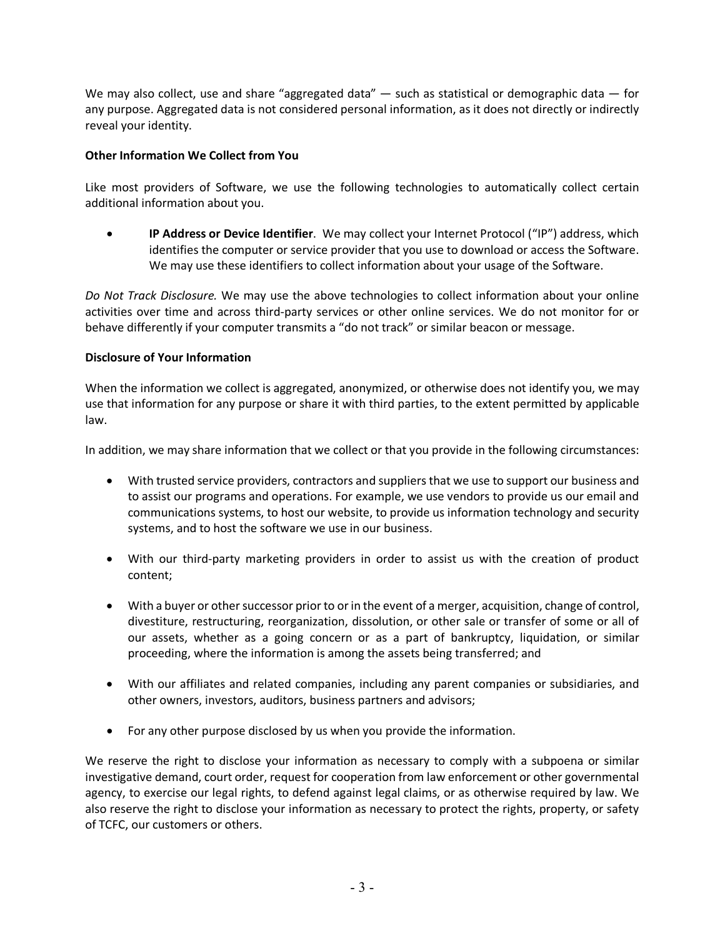We may also collect, use and share "aggregated data" — such as statistical or demographic data — for any purpose. Aggregated data is not considered personal information, as it does not directly or indirectly reveal your identity.

# **Other Information We Collect from You**

Like most providers of Software, we use the following technologies to automatically collect certain additional information about you.

• **IP Address or Device Identifier**. We may collect your Internet Protocol ("IP") address, which identifies the computer or service provider that you use to download or access the Software. We may use these identifiers to collect information about your usage of the Software.

*Do Not Track Disclosure.* We may use the above technologies to collect information about your online activities over time and across third-party services or other online services. We do not monitor for or behave differently if your computer transmits a "do not track" or similar beacon or message.

## **Disclosure of Your Information**

When the information we collect is aggregated, anonymized, or otherwise does not identify you, we may use that information for any purpose or share it with third parties, to the extent permitted by applicable law.

In addition, we may share information that we collect or that you provide in the following circumstances:

- With trusted service providers, contractors and suppliers that we use to support our business and to assist our programs and operations. For example, we use vendors to provide us our email and communications systems, to host our website, to provide us information technology and security systems, and to host the software we use in our business.
- With our third-party marketing providers in order to assist us with the creation of product content;
- With a buyer or other successor prior to or in the event of a merger, acquisition, change of control, divestiture, restructuring, reorganization, dissolution, or other sale or transfer of some or all of our assets, whether as a going concern or as a part of bankruptcy, liquidation, or similar proceeding, where the information is among the assets being transferred; and
- With our affiliates and related companies, including any parent companies or subsidiaries, and other owners, investors, auditors, business partners and advisors;
- For any other purpose disclosed by us when you provide the information.

We reserve the right to disclose your information as necessary to comply with a subpoena or similar investigative demand, court order, request for cooperation from law enforcement or other governmental agency, to exercise our legal rights, to defend against legal claims, or as otherwise required by law. We also reserve the right to disclose your information as necessary to protect the rights, property, or safety of TCFC, our customers or others.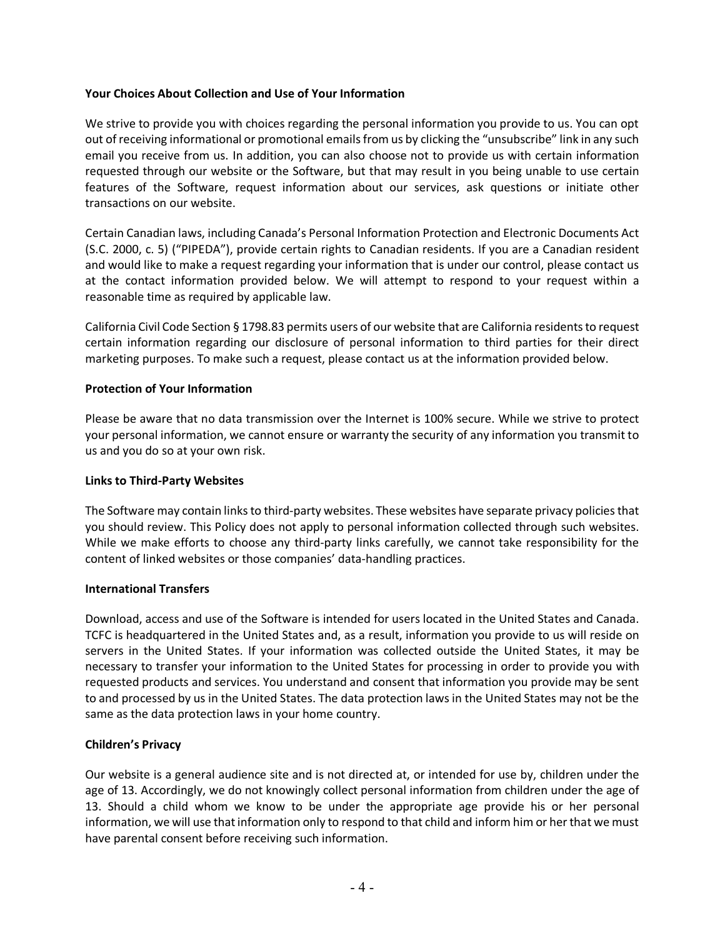## **Your Choices About Collection and Use of Your Information**

We strive to provide you with choices regarding the personal information you provide to us. You can opt out of receiving informational or promotional emails from us by clicking the "unsubscribe" link in any such email you receive from us. In addition, you can also choose not to provide us with certain information requested through our website or the Software, but that may result in you being unable to use certain features of the Software, request information about our services, ask questions or initiate other transactions on our website.

Certain Canadian laws, including Canada's Personal Information Protection and Electronic Documents Act (S.C. 2000, c. 5) ("PIPEDA"), provide certain rights to Canadian residents. If you are a Canadian resident and would like to make a request regarding your information that is under our control, please contact us at the contact information provided below. We will attempt to respond to your request within a reasonable time as required by applicable law.

California Civil Code Section § 1798.83 permits users of our website that are California residents to request certain information regarding our disclosure of personal information to third parties for their direct marketing purposes. To make such a request, please contact us at the information provided below.

## **Protection of Your Information**

Please be aware that no data transmission over the Internet is 100% secure. While we strive to protect your personal information, we cannot ensure or warranty the security of any information you transmit to us and you do so at your own risk.

#### **Links to Third-Party Websites**

The Software may contain linksto third-party websites. These websites have separate privacy policies that you should review. This Policy does not apply to personal information collected through such websites. While we make efforts to choose any third-party links carefully, we cannot take responsibility for the content of linked websites or those companies' data-handling practices.

#### **International Transfers**

Download, access and use of the Software is intended for users located in the United States and Canada. TCFC is headquartered in the United States and, as a result, information you provide to us will reside on servers in the United States. If your information was collected outside the United States, it may be necessary to transfer your information to the United States for processing in order to provide you with requested products and services. You understand and consent that information you provide may be sent to and processed by us in the United States. The data protection laws in the United States may not be the same as the data protection laws in your home country.

#### **Children's Privacy**

Our website is a general audience site and is not directed at, or intended for use by, children under the age of 13. Accordingly, we do not knowingly collect personal information from children under the age of 13. Should a child whom we know to be under the appropriate age provide his or her personal information, we will use that information only to respond to that child and inform him or her that we must have parental consent before receiving such information.